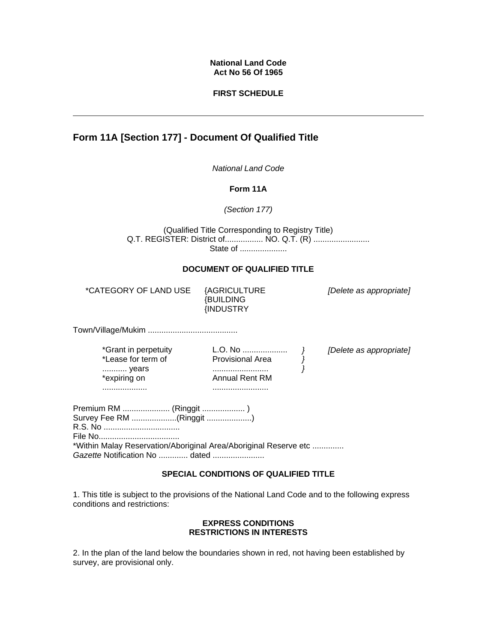## **National Land Code Act No 56 Of 1965**

## **FIRST SCHEDULE**

# **Form 11A [Section 177] - Document Of Qualified Title**

*National Land Code* 

**Form 11A**

*(Section 177)*

(Qualified Title Corresponding to Registry Title) Q.T. REGISTER: District of................. NO. Q.T. (R) ........................ State of ......................

# **DOCUMENT OF QUALIFIED TITLE**

\*CATEGORY OF LAND USE {AGRICULTURE

{BUILDING {INDUSTRY *[Delete as appropriate]*

Town/Village/Mukim ........................................

\*Grant in perpetuity \*Lease for term of ........... years \*expiring on ....................

L.O. No .................... Provisional Area ......................... Annual Rent RM .........................

*} } }* *[Delete as appropriate]*

Premium RM ..................... (Ringgit ................... ) Survey Fee RM ....................(Ringgit ....................) R.S. No .................................. File No.................................... \*Within Malay Reservation/Aboriginal Area/Aboriginal Reserve etc .............. *Gazette* Notification No ............. dated .......................

# **SPECIAL CONDITIONS OF QUALIFIED TITLE**

1. This title is subject to the provisions of the National Land Code and to the following express conditions and restrictions:

#### **EXPRESS CONDITIONS RESTRICTIONS IN INTERESTS**

2. In the plan of the land below the boundaries shown in red, not having been established by survey, are provisional only.